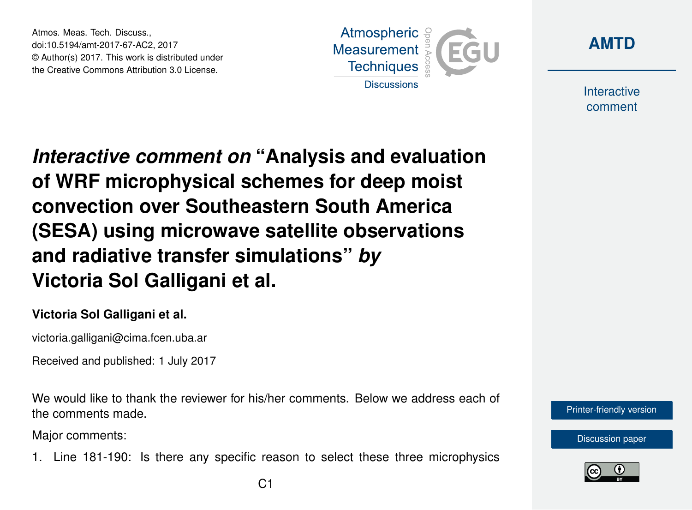Atmos. Meas. Tech. Discuss., doi:10.5194/amt-2017-67-AC2, 2017 © Author(s) 2017. This work is distributed under the Creative Commons Attribution 3.0 License.





**Interactive** comment

*Interactive comment on* **"Analysis and evaluation of WRF microphysical schemes for deep moist convection over Southeastern South America (SESA) using microwave satellite observations and radiative transfer simulations"** *by* **Victoria Sol Galligani et al.**

## **Victoria Sol Galligani et al.**

victoria.galligani@cima.fcen.uba.ar

Received and published: 1 July 2017

We would like to thank the reviewer for his/her comments. Below we address each of the comments made.

Major comments:

1. Line 181-190: Is there any specific reason to select these three microphysics



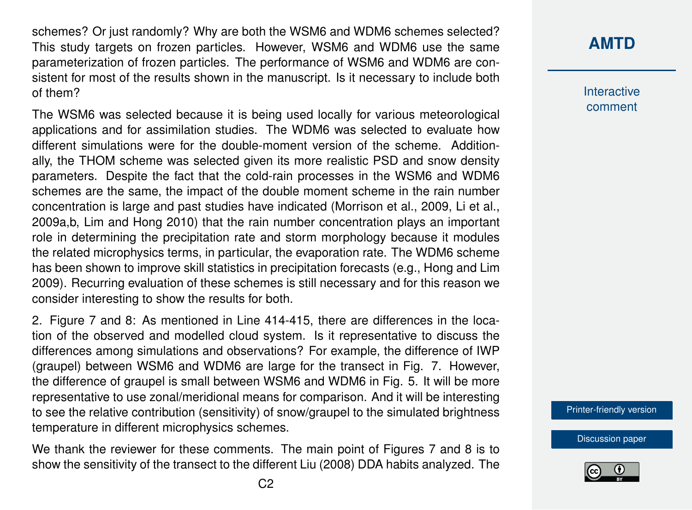schemes? Or just randomly? Why are both the WSM6 and WDM6 schemes selected? This study targets on frozen particles. However, WSM6 and WDM6 use the same parameterization of frozen particles. The performance of WSM6 and WDM6 are consistent for most of the results shown in the manuscript. Is it necessary to include both of them?

The WSM6 was selected because it is being used locally for various meteorological applications and for assimilation studies. The WDM6 was selected to evaluate how different simulations were for the double-moment version of the scheme. Additionally, the THOM scheme was selected given its more realistic PSD and snow density parameters. Despite the fact that the cold-rain processes in the WSM6 and WDM6 schemes are the same, the impact of the double moment scheme in the rain number concentration is large and past studies have indicated (Morrison et al., 2009, Li et al., 2009a,b, Lim and Hong 2010) that the rain number concentration plays an important role in determining the precipitation rate and storm morphology because it modules the related microphysics terms, in particular, the evaporation rate. The WDM6 scheme has been shown to improve skill statistics in precipitation forecasts (e.g., Hong and Lim 2009). Recurring evaluation of these schemes is still necessary and for this reason we consider interesting to show the results for both.

2. Figure 7 and 8: As mentioned in Line 414-415, there are differences in the location of the observed and modelled cloud system. Is it representative to discuss the differences among simulations and observations? For example, the difference of IWP (graupel) between WSM6 and WDM6 are large for the transect in Fig. 7. However, the difference of graupel is small between WSM6 and WDM6 in Fig. 5. It will be more representative to use zonal/meridional means for comparison. And it will be interesting to see the relative contribution (sensitivity) of snow/graupel to the simulated brightness temperature in different microphysics schemes.

We thank the reviewer for these comments. The main point of Figures 7 and 8 is to show the sensitivity of the transect to the different Liu (2008) DDA habits analyzed. The

## **[AMTD](https://www.atmos-meas-tech-discuss.net/)**

**Interactive** comment

[Printer-friendly version](https://www.atmos-meas-tech-discuss.net/amt-2017-67/amt-2017-67-AC2-print.pdf)

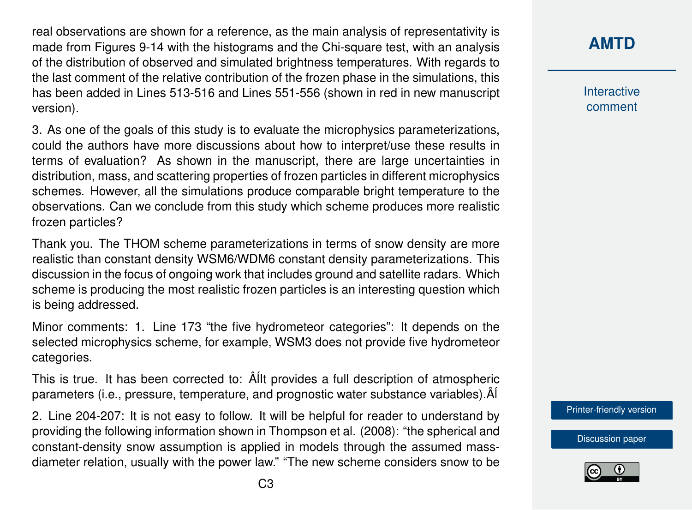real observations are shown for a reference, as the main analysis of representativity is made from Figures 9-14 with the histograms and the Chi-square test, with an analysis of the distribution of observed and simulated brightness temperatures. With regards to the last comment of the relative contribution of the frozen phase in the simulations, this has been added in Lines 513-516 and Lines 551-556 (shown in red in new manuscript version).

3. As one of the goals of this study is to evaluate the microphysics parameterizations, could the authors have more discussions about how to interpret/use these results in terms of evaluation? As shown in the manuscript, there are large uncertainties in distribution, mass, and scattering properties of frozen particles in different microphysics schemes. However, all the simulations produce comparable bright temperature to the observations. Can we conclude from this study which scheme produces more realistic frozen particles?

Thank you. The THOM scheme parameterizations in terms of snow density are more realistic than constant density WSM6/WDM6 constant density parameterizations. This discussion in the focus of ongoing work that includes ground and satellite radars. Which scheme is producing the most realistic frozen particles is an interesting question which is being addressed.

Minor comments: 1. Line 173 "the five hydrometeor categories": It depends on the selected microphysics scheme, for example, WSM3 does not provide five hydrometeor categories.

This is true. It has been corrected to:  $\hat{A}$ IIt provides a full description of atmospheric parameters (i.e., pressure, temperature, and prognostic water substance variables). $\hat{A}$ 

2. Line 204-207: It is not easy to follow. It will be helpful for reader to understand by providing the following information shown in Thompson et al. (2008): "the spherical and constant-density snow assumption is applied in models through the assumed massdiameter relation, usually with the power law." "The new scheme considers snow to be

## **[AMTD](https://www.atmos-meas-tech-discuss.net/)**

**Interactive** comment

[Printer-friendly version](https://www.atmos-meas-tech-discuss.net/amt-2017-67/amt-2017-67-AC2-print.pdf)